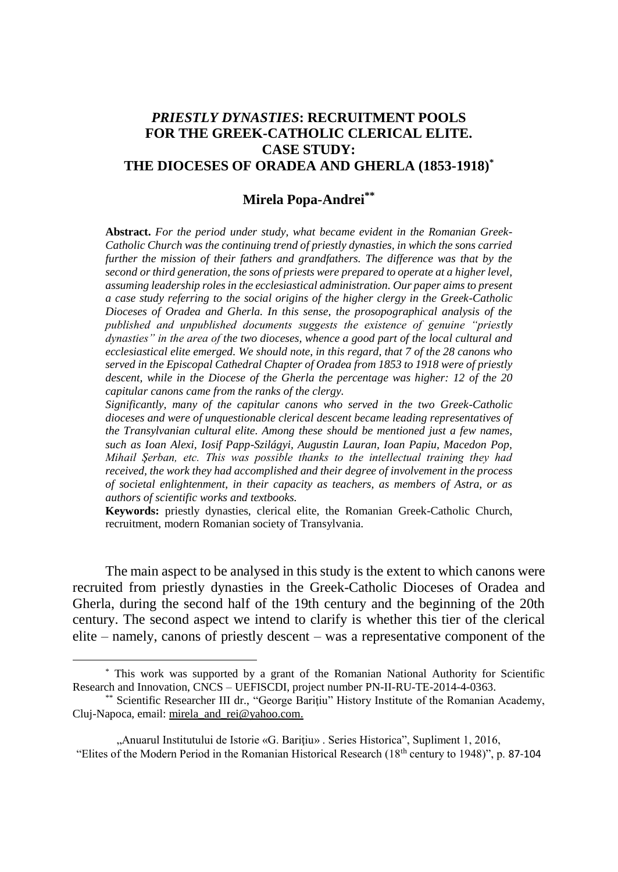## *PRIESTLY DYNASTIES***: RECRUITMENT POOLS FOR THE GREEK-CATHOLIC CLERICAL ELITE. CASE STUDY: THE DIOCESES OF ORADEA AND GHERLA (1853-1918)\***

## **Mirela Popa-Andrei\*\***

**Abstract.** *For the period under study, what became evident in the Romanian Greek-Catholic Church was the continuing trend of priestly dynasties, in which the sons carried further the mission of their fathers and grandfathers. The difference was that by the second or third generation, the sons of priests were prepared to operate at a higher level, assuming leadership roles in the ecclesiastical administration. Our paper aims to present a case study referring to the social origins of the higher clergy in the Greek-Catholic Dioceses of Oradea and Gherla. In this sense, the prosopographical analysis of the published and unpublished documents suggests the existence of genuine "priestly dynasties" in the area of the two dioceses, whence a good part of the local cultural and ecclesiastical elite emerged. We should note, in this regard, that 7 of the 28 canons who served in the Episcopal Cathedral Chapter of Oradea from 1853 to 1918 were of priestly descent, while in the Diocese of the Gherla the percentage was higher: 12 of the 20 capitular canons came from the ranks of the clergy.*

*Significantly, many of the capitular canons who served in the two Greek-Catholic dioceses and were of unquestionable clerical descent became leading representatives of the Transylvanian cultural elite. Among these should be mentioned just a few names, such as Ioan Alexi, Iosif Papp-Szilágyi, Augustin Lauran, Ioan Papiu, Macedon Pop, Mihail Şerban, etc. This was possible thanks to the intellectual training they had received, the work they had accomplished and their degree of involvement in the process of societal enlightenment, in their capacity as teachers, as members of Astra, or as authors of scientific works and textbooks.*

**Keywords:** priestly dynasties, clerical elite, the Romanian Greek-Catholic Church, recruitment, modern Romanian society of Transylvania.

The main aspect to be analysed in this study is the extent to which canons were recruited from priestly dynasties in the Greek-Catholic Dioceses of Oradea and Gherla, during the second half of the 19th century and the beginning of the 20th century. The second aspect we intend to clarify is whether this tier of the clerical elite – namely, canons of priestly descent – was a representative component of the

<sup>\*</sup> This work was supported by a grant of the Romanian National Authority for Scientific Research and Innovation, CNCS – UEFISCDI, project number PN-II-RU-TE-2014-4-0363.

<sup>\*\*</sup> Scientific Researcher III dr., "George Baritiu" History Institute of the Romanian Academy, Cluj-Napoca, email: [mirela\\_and\\_rei@yahoo.com.](mailto:mirela_and_rei@yahoo.com)

<sup>&</sup>quot;Anuarul Institutului de Istorie «G. Bariţiu» . Series Historica", Supliment 1, 2016, "Elites of the Modern Period in the Romanian Historical Research (18th century to 1948)", p. 87-104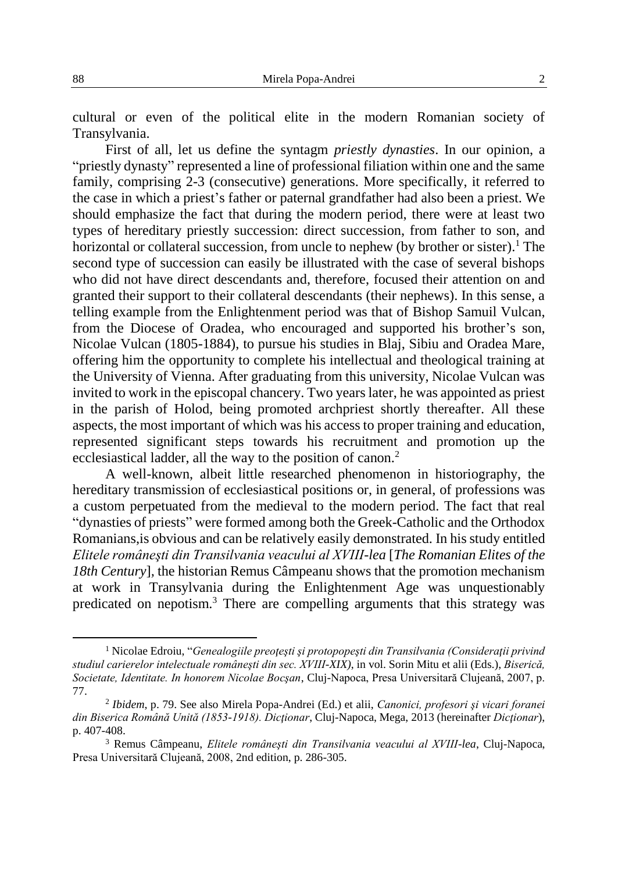cultural or even of the political elite in the modern Romanian society of Transylvania.

First of all, let us define the syntagm *priestly dynasties*. In our opinion, a "priestly dynasty" represented a line of professional filiation within one and the same family, comprising 2-3 (consecutive) generations. More specifically, it referred to the case in which a priest's father or paternal grandfather had also been a priest. We should emphasize the fact that during the modern period, there were at least two types of hereditary priestly succession: direct succession, from father to son, and horizontal or collateral succession, from uncle to nephew (by brother or sister).<sup>1</sup> The second type of succession can easily be illustrated with the case of several bishops who did not have direct descendants and, therefore, focused their attention on and granted their support to their collateral descendants (their nephews). In this sense, a telling example from the Enlightenment period was that of Bishop Samuil Vulcan, from the Diocese of Oradea, who encouraged and supported his brother's son, Nicolae Vulcan (1805-1884), to pursue his studies in Blaj, Sibiu and Oradea Mare, offering him the opportunity to complete his intellectual and theological training at the University of Vienna. After graduating from this university, Nicolae Vulcan was invited to work in the episcopal chancery. Two years later, he was appointed as priest in the parish of Holod, being promoted archpriest shortly thereafter. All these aspects, the most important of which was his access to proper training and education, represented significant steps towards his recruitment and promotion up the ecclesiastical ladder, all the way to the position of canon.<sup>2</sup>

A well-known, albeit little researched phenomenon in historiography, the hereditary transmission of ecclesiastical positions or, in general, of professions was a custom perpetuated from the medieval to the modern period. The fact that real "dynasties of priests" were formed among both the Greek-Catholic and the Orthodox Romanians,is obvious and can be relatively easily demonstrated. In his study entitled *Elitele româneşti din Transilvania veacului al XVIII-lea* [*The Romanian Elites of the 18th Century*]*,* the historian Remus Câmpeanu shows that the promotion mechanism at work in Transylvania during the Enlightenment Age was unquestionably predicated on nepotism.<sup>3</sup> There are compelling arguments that this strategy was

<sup>&</sup>lt;sup>1</sup> Nicolae Edroiu, "*Genealogiile preotesti si protopopesti din Transilvania (Consideratii privind studiul carierelor intelectuale româneşti din sec. XVIII-XIX)*, in vol. Sorin Mitu et alii (Eds.), *Biserică, Societate, Identitate. In honorem Nicolae Bocşan*, Cluj-Napoca, Presa Universitară Clujeană, 2007, p. 77.

<sup>2</sup> *Ibidem*, p. 79. See also Mirela Popa-Andrei (Ed.) et alii, *Canonici, profesori şi vicari foranei din Biserica Română Unită (1853-1918). Dicţionar*, Cluj-Napoca, Mega, 2013 (hereinafter *Dicţionar*), p. 407-408.

<sup>3</sup> Remus Câmpeanu, *Elitele româneşti din Transilvania veacului al XVIII-lea*, Cluj-Napoca, Presa Universitară Clujeană, 2008, 2nd edition, p. 286-305.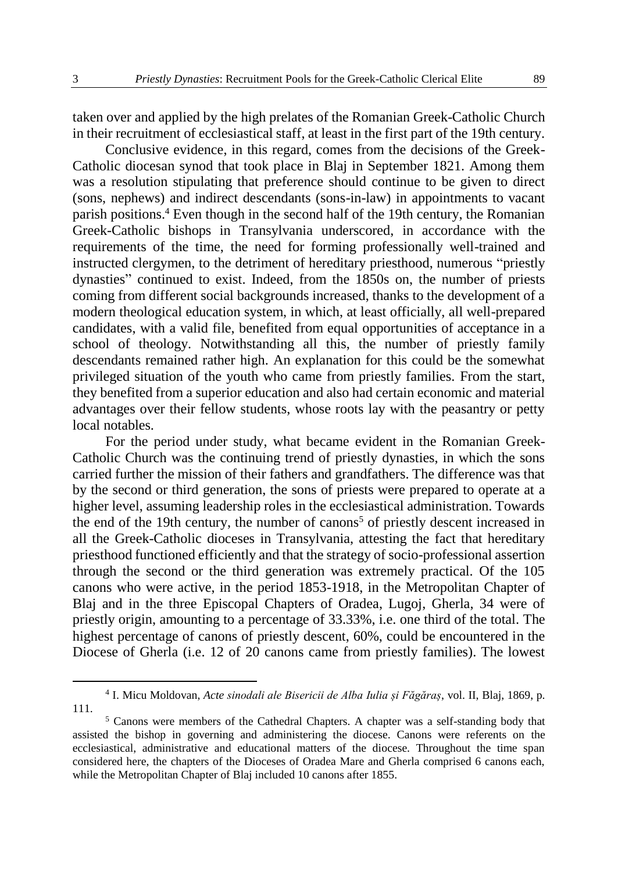taken over and applied by the high prelates of the Romanian Greek-Catholic Church in their recruitment of ecclesiastical staff, at least in the first part of the 19th century.

Conclusive evidence, in this regard, comes from the decisions of the Greek-Catholic diocesan synod that took place in Blaj in September 1821. Among them was a resolution stipulating that preference should continue to be given to direct (sons, nephews) and indirect descendants (sons-in-law) in appointments to vacant parish positions.<sup>4</sup> Even though in the second half of the 19th century, the Romanian Greek-Catholic bishops in Transylvania underscored, in accordance with the requirements of the time, the need for forming professionally well-trained and instructed clergymen, to the detriment of hereditary priesthood, numerous "priestly dynasties" continued to exist. Indeed, from the 1850s on, the number of priests coming from different social backgrounds increased, thanks to the development of a modern theological education system, in which, at least officially, all well-prepared candidates, with a valid file, benefited from equal opportunities of acceptance in a school of theology. Notwithstanding all this, the number of priestly family descendants remained rather high. An explanation for this could be the somewhat privileged situation of the youth who came from priestly families. From the start, they benefited from a superior education and also had certain economic and material advantages over their fellow students, whose roots lay with the peasantry or petty local notables.

For the period under study, what became evident in the Romanian Greek-Catholic Church was the continuing trend of priestly dynasties, in which the sons carried further the mission of their fathers and grandfathers. The difference was that by the second or third generation, the sons of priests were prepared to operate at a higher level, assuming leadership roles in the ecclesiastical administration. Towards the end of the 19th century, the number of canons<sup>5</sup> of priestly descent increased in all the Greek-Catholic dioceses in Transylvania, attesting the fact that hereditary priesthood functioned efficiently and that the strategy of socio-professional assertion through the second or the third generation was extremely practical. Of the 105 canons who were active, in the period 1853-1918, in the Metropolitan Chapter of Blaj and in the three Episcopal Chapters of Oradea, Lugoj, Gherla, 34 were of priestly origin, amounting to a percentage of 33.33%, i.e. one third of the total. The highest percentage of canons of priestly descent, 60%, could be encountered in the Diocese of Gherla (i.e. 12 of 20 canons came from priestly families). The lowest

<sup>4</sup> I. Micu Moldovan, *Acte sinodali ale Bisericii de Alba Iulia și Făgăraș*, vol. II, Blaj, 1869, p. 111.

<sup>&</sup>lt;sup>5</sup> Canons were members of the Cathedral Chapters. A chapter was a self-standing body that assisted the bishop in governing and administering the diocese. Canons were referents on the ecclesiastical, administrative and educational matters of the diocese. Throughout the time span considered here, the chapters of the Dioceses of Oradea Mare and Gherla comprised 6 canons each, while the Metropolitan Chapter of Blaj included 10 canons after 1855.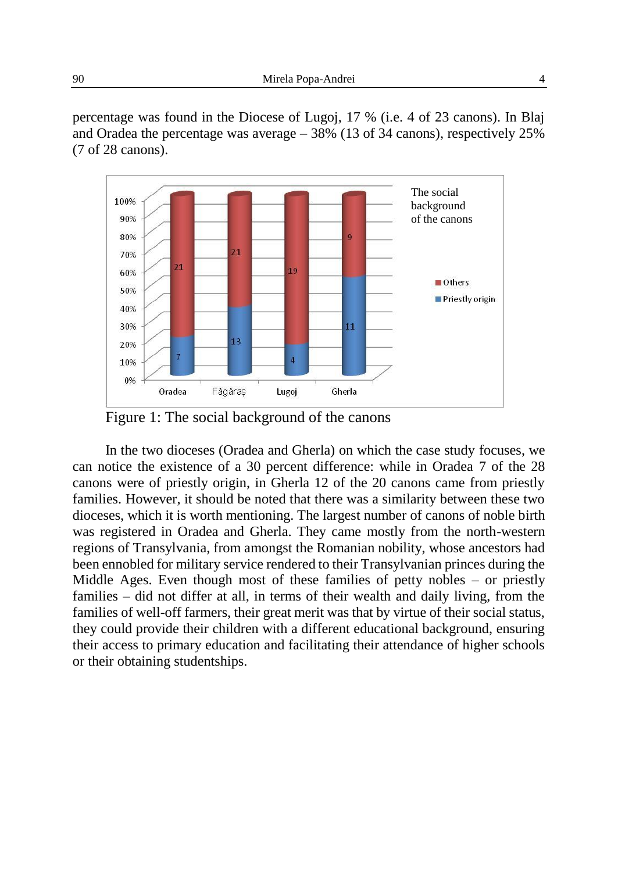percentage was found in the Diocese of Lugoj, 17 % (i.e. 4 of 23 canons). In Blaj and Oradea the percentage was average – 38% (13 of 34 canons), respectively 25% (7 of 28 canons).



Figure 1: The social background of the canons

In the two dioceses (Oradea and Gherla) on which the case study focuses, we can notice the existence of a 30 percent difference: while in Oradea 7 of the 28 canons were of priestly origin, in Gherla 12 of the 20 canons came from priestly families. However, it should be noted that there was a similarity between these two dioceses, which it is worth mentioning. The largest number of canons of noble birth was registered in Oradea and Gherla. They came mostly from the north-western regions of Transylvania, from amongst the Romanian nobility, whose ancestors had been ennobled for military service rendered to their Transylvanian princes during the Middle Ages. Even though most of these families of petty nobles – or priestly families – did not differ at all, in terms of their wealth and daily living, from the families of well-off farmers, their great merit was that by virtue of their social status, they could provide their children with a different educational background, ensuring their access to primary education and facilitating their attendance of higher schools or their obtaining studentships.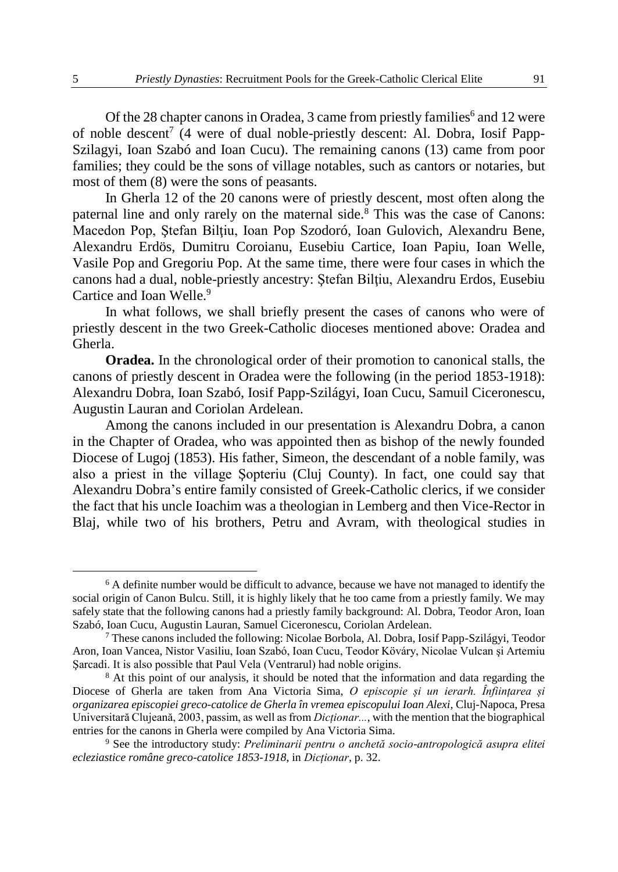Of the 28 chapter canons in Oradea, 3 came from priestly families<sup>6</sup> and 12 were of noble descent<sup>7</sup> (4 were of dual noble-priestly descent: Al. Dobra, Iosif Papp-Szilagyi, Ioan Szabó and Ioan Cucu). The remaining canons (13) came from poor families; they could be the sons of village notables, such as cantors or notaries, but most of them (8) were the sons of peasants.

In Gherla 12 of the 20 canons were of priestly descent, most often along the paternal line and only rarely on the maternal side*.* <sup>8</sup> This was the case of Canons: Macedon Pop, Ştefan Bilţiu, Ioan Pop Szodoró, Ioan Gulovich, Alexandru Bene, Alexandru Erdös, Dumitru Coroianu, Eusebiu Cartice, Ioan Papiu, Ioan Welle, Vasile Pop and Gregoriu Pop. At the same time, there were four cases in which the canons had a dual, noble-priestly ancestry: Ştefan Bilţiu, Alexandru Erdos, Eusebiu Cartice and Ioan Welle.<sup>9</sup>

In what follows, we shall briefly present the cases of canons who were of priestly descent in the two Greek-Catholic dioceses mentioned above: Oradea and Gherla.

**Oradea.** In the chronological order of their promotion to canonical stalls, the canons of priestly descent in Oradea were the following (in the period 1853-1918): Alexandru Dobra, Ioan Szabó, Iosif Papp-Szilágyi, Ioan Cucu, Samuil Ciceronescu, Augustin Lauran and Coriolan Ardelean.

Among the canons included in our presentation is Alexandru Dobra, a canon in the Chapter of Oradea, who was appointed then as bishop of the newly founded Diocese of Lugoj (1853). His father, Simeon, the descendant of a noble family, was also a priest in the village Şopteriu (Cluj County). In fact, one could say that Alexandru Dobra's entire family consisted of Greek-Catholic clerics, if we consider the fact that his uncle Ioachim was a theologian in Lemberg and then Vice-Rector in Blaj, while two of his brothers, Petru and Avram, with theological studies in

 $6$  A definite number would be difficult to advance, because we have not managed to identify the social origin of Canon Bulcu. Still, it is highly likely that he too came from a priestly family. We may safely state that the following canons had a priestly family background: Al. Dobra, Teodor Aron, Ioan Szabó, Ioan Cucu, Augustin Lauran, Samuel Ciceronescu, Coriolan Ardelean.

 $^7$  These canons included the following: Nicolae Borbola, Al. Dobra, Iosif Papp-Szilágyi, Teodor Aron, Ioan Vancea, Nistor Vasiliu, Ioan Szabó, Ioan Cucu, Teodor Köváry, Nicolae Vulcan şi Artemiu Şarcadi. It is also possible that Paul Vela (Ventrarul) had noble origins.

<sup>&</sup>lt;sup>8</sup> At this point of our analysis, it should be noted that the information and data regarding the Diocese of Gherla are taken from Ana Victoria Sima, *O episcopie și un ierarh. Înființarea și organizarea episcopiei greco-catolice de Gherla în vremea episcopului Ioan Alexi*, Cluj-Napoca, Presa Universitară Clujeană, 2003, passim, as well as from *Dicționar...*, with the mention that the biographical entries for the canons in Gherla were compiled by Ana Victoria Sima.

<sup>9</sup> See the introductory study: *Preliminarii pentru o anchetă socio-antropologică asupra elitei ecleziastice române greco-catolice 1853-1918*, in *Dicționar*, p. 32.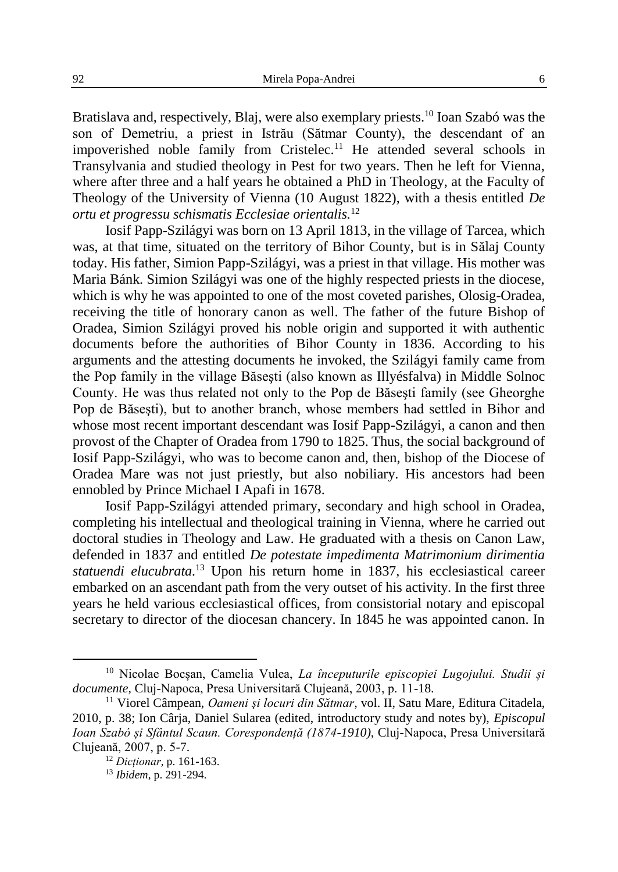Bratislava and, respectively, Blaj, were also exemplary priests.<sup>10</sup> Ioan Szabó was the son of Demetriu, a priest in Istrău (Sătmar County), the descendant of an impoverished noble family from Cristelec.<sup>11</sup> He attended several schools in Transylvania and studied theology in Pest for two years. Then he left for Vienna, where after three and a half years he obtained a PhD in Theology, at the Faculty of Theology of the University of Vienna (10 August 1822), with a thesis entitled *De ortu et progressu schismatis Ecclesiae orientalis.*<sup>12</sup>

Iosif Papp-Szilágyi was born on 13 April 1813, in the village of Tarcea, which was, at that time, situated on the territory of Bihor County, but is in Sălaj County today. His father, Simion Papp-Szilágyi, was a priest in that village. His mother was Maria Bánk. Simion Szilágyi was one of the highly respected priests in the diocese, which is why he was appointed to one of the most coveted parishes, Olosig-Oradea, receiving the title of honorary canon as well. The father of the future Bishop of Oradea, Simion Szilágyi proved his noble origin and supported it with authentic documents before the authorities of Bihor County in 1836. According to his arguments and the attesting documents he invoked, the Szilágyi family came from the Pop family in the village Băseşti (also known as Illyésfalva) in Middle Solnoc County. He was thus related not only to the Pop de Băseşti family (see Gheorghe Pop de Băseşti), but to another branch, whose members had settled in Bihor and whose most recent important descendant was Iosif Papp-Szilágyi, a canon and then provost of the Chapter of Oradea from 1790 to 1825. Thus, the social background of Iosif Papp-Szilágyi, who was to become canon and, then, bishop of the Diocese of Oradea Mare was not just priestly, but also nobiliary. His ancestors had been ennobled by Prince Michael I Apafi in 1678.

Iosif Papp-Szilágyi attended primary, secondary and high school in Oradea, completing his intellectual and theological training in Vienna, where he carried out doctoral studies in Theology and Law. He graduated with a thesis on Canon Law, defended in 1837 and entitled *De potestate impedimenta Matrimonium dirimentia statuendi elucubrata.* <sup>13</sup> Upon his return home in 1837, his ecclesiastical career embarked on an ascendant path from the very outset of his activity. In the first three years he held various ecclesiastical offices, from consistorial notary and episcopal secretary to director of the diocesan chancery. In 1845 he was appointed canon. In

<sup>10</sup> Nicolae Bocșan, Camelia Vulea, *La începuturile episcopiei Lugojului. Studii și documente*, Cluj-Napoca, Presa Universitară Clujeană, 2003, p. 11-18.

<sup>11</sup> Viorel Câmpean, *Oameni şi locuri din Sătmar*, vol. II, Satu Mare, Editura Citadela, 2010, p. 38; Ion Cârja, Daniel Sularea (edited, introductory study and notes by), *Episcopul Ioan Szabó și Sfântul Scaun. Corespondență (1874-1910)*, Cluj-Napoca, Presa Universitară Clujeană, 2007, p. 5-7.

<sup>12</sup> *Dicționar*, p. 161-163.

<sup>13</sup> *Ibidem*, p. 291-294.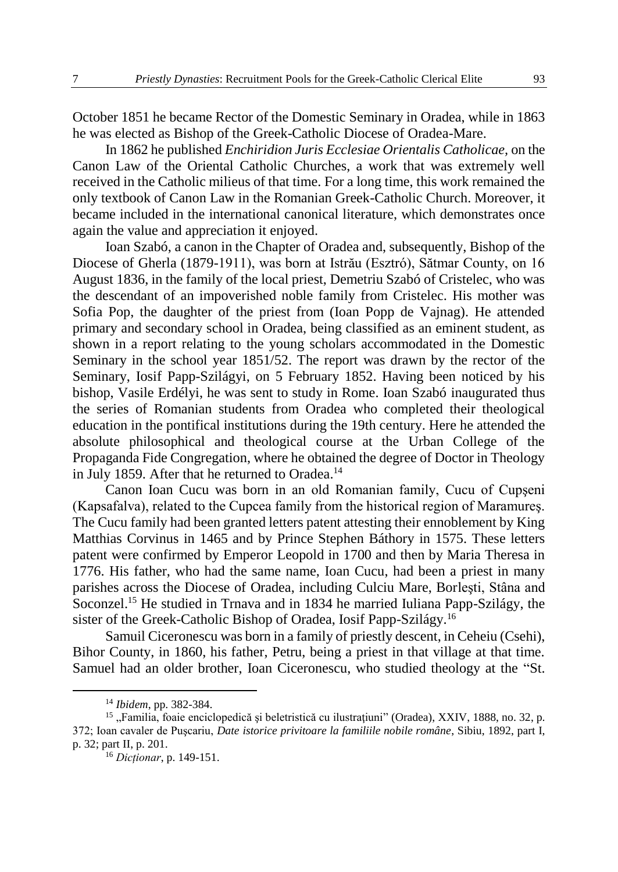October 1851 he became Rector of the Domestic Seminary in Oradea, while in 1863 he was elected as Bishop of the Greek-Catholic Diocese of Oradea-Mare.

In 1862 he published *Enchiridion Juris Ecclesiae Orientalis Catholicae,* on the Canon Law of the Oriental Catholic Churches, a work that was extremely well received in the Catholic milieus of that time. For a long time, this work remained the only textbook of Canon Law in the Romanian Greek-Catholic Church. Moreover, it became included in the international canonical literature, which demonstrates once again the value and appreciation it enjoyed.

Ioan Szabó, a canon in the Chapter of Oradea and, subsequently, Bishop of the Diocese of Gherla (1879-1911), was born at Istrău (Esztró), Sătmar County, on 16 August 1836, in the family of the local priest, Demetriu Szabó of Cristelec, who was the descendant of an impoverished noble family from Cristelec. His mother was Sofia Pop, the daughter of the priest from (Ioan Popp de Vajnag). He attended primary and secondary school in Oradea, being classified as an eminent student, as shown in a report relating to the young scholars accommodated in the Domestic Seminary in the school year 1851/52. The report was drawn by the rector of the Seminary, Iosif Papp-Szilágyi, on 5 February 1852. Having been noticed by his bishop, Vasile Erdélyi, he was sent to study in Rome. Ioan Szabó inaugurated thus the series of Romanian students from Oradea who completed their theological education in the pontifical institutions during the 19th century. Here he attended the absolute philosophical and theological course at the Urban College of the Propaganda Fide Congregation, where he obtained the degree of Doctor in Theology in July 1859. After that he returned to Oradea.<sup>14</sup>

Canon Ioan Cucu was born in an old Romanian family, Cucu of Cupşeni (Kapsafalva), related to the Cupcea family from the historical region of Maramureş. The Cucu family had been granted letters patent attesting their ennoblement by King Matthias Corvinus in 1465 and by Prince Stephen Báthory in 1575. These letters patent were confirmed by Emperor Leopold in 1700 and then by Maria Theresa in 1776. His father, who had the same name, Ioan Cucu, had been a priest in many parishes across the Diocese of Oradea, including Culciu Mare, Borleşti, Stâna and Soconzel.<sup>15</sup> He studied in Trnava and in 1834 he married Iuliana Papp-Szilágy, the sister of the Greek-Catholic Bishop of Oradea, Iosif Papp-Szilágy.<sup>16</sup>

Samuil Ciceronescu was born in a family of priestly descent, in Ceheiu (Csehi), Bihor County, in 1860, his father, Petru, being a priest in that village at that time. Samuel had an older brother, Ioan Ciceronescu, who studied theology at the "St.

<sup>14</sup> *Ibidem*, pp. 382-384.

<sup>&</sup>lt;sup>15</sup>, Familia, foaie enciclopedică și beletristică cu ilustrațiuni" (Oradea), XXIV, 1888, no. 32, p. 372; Ioan cavaler de Puşcariu, *Date istorice privitoare la familiile nobile române*, Sibiu, 1892, part I, p. 32; part II, p. 201.

<sup>16</sup> *Dicționar*, p. 149-151.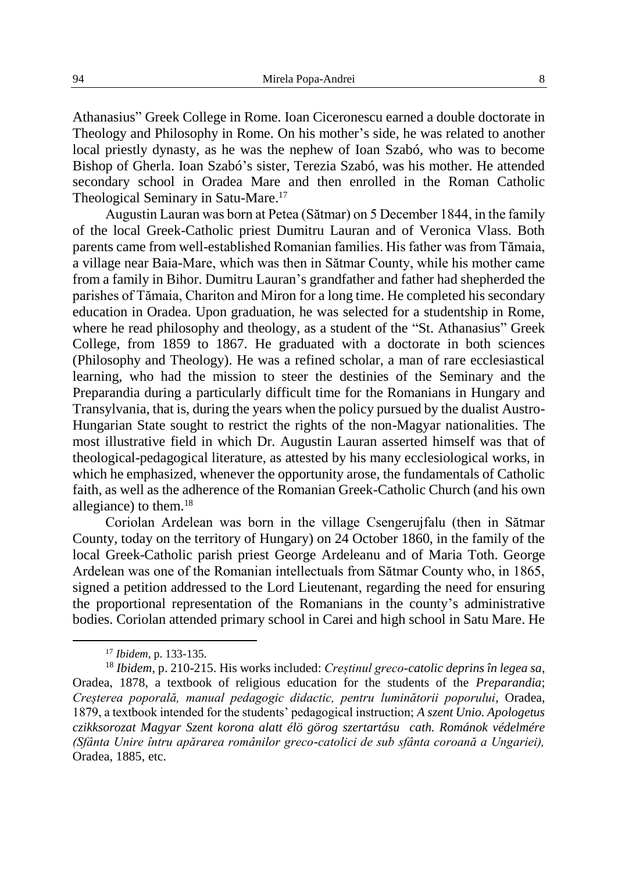Athanasius" Greek College in Rome. Ioan Ciceronescu earned a double doctorate in Theology and Philosophy in Rome. On his mother's side, he was related to another local priestly dynasty, as he was the nephew of Ioan Szabó, who was to become Bishop of Gherla. Ioan Szabó's sister, Terezia Szabó, was his mother. He attended secondary school in Oradea Mare and then enrolled in the Roman Catholic Theological Seminary in Satu-Mare.<sup>17</sup>

Augustin Lauran was born at Petea (Sătmar) on 5 December 1844, in the family of the local Greek-Catholic priest Dumitru Lauran and of Veronica Vlass. Both parents came from well-established Romanian families. His father was from Tămaia, a village near Baia-Mare, which was then in Sătmar County, while his mother came from a family in Bihor. Dumitru Lauran's grandfather and father had shepherded the parishes of Tămaia, Chariton and Miron for a long time. He completed his secondary education in Oradea. Upon graduation, he was selected for a studentship in Rome, where he read philosophy and theology, as a student of the "St. Athanasius" Greek College, from 1859 to 1867. He graduated with a doctorate in both sciences (Philosophy and Theology). He was a refined scholar, a man of rare ecclesiastical learning, who had the mission to steer the destinies of the Seminary and the Preparandia during a particularly difficult time for the Romanians in Hungary and Transylvania, that is, during the years when the policy pursued by the dualist Austro-Hungarian State sought to restrict the rights of the non-Magyar nationalities. The most illustrative field in which Dr. Augustin Lauran asserted himself was that of theological-pedagogical literature, as attested by his many ecclesiological works, in which he emphasized, whenever the opportunity arose, the fundamentals of Catholic faith, as well as the adherence of the Romanian Greek-Catholic Church (and his own allegiance) to them. $^{18}$ 

Coriolan Ardelean was born in the village Csengerujfalu (then in Sătmar County, today on the territory of Hungary) on 24 October 1860, in the family of the local Greek-Catholic parish priest George Ardeleanu and of Maria Toth. George Ardelean was one of the Romanian intellectuals from Sătmar County who, in 1865, signed a petition addressed to the Lord Lieutenant, regarding the need for ensuring the proportional representation of the Romanians in the county's administrative bodies. Coriolan attended primary school in Carei and high school in Satu Mare. He

<sup>17</sup> *Ibidem*, p. 133-135.

<sup>18</sup> *Ibidem*, p. 210-215. His works included: *Creștinul greco-catolic deprins în legea sa*, Oradea, 1878, a textbook of religious education for the students of the *Preparandia*; *Creșterea poporală, manual pedagogic didactic, pentru luminătorii poporului*, Oradea, 1879, a textbook intended for the students' pedagogical instruction; *A szent Unio. Apologetus czikksorozat Magyar Szent korona alatt élö görog szertartásu cath. Románok védelmére (Sfânta Unire întru apărarea românilor greco-catolici de sub sfânta coroană a Ungariei),* Oradea, 1885, etc.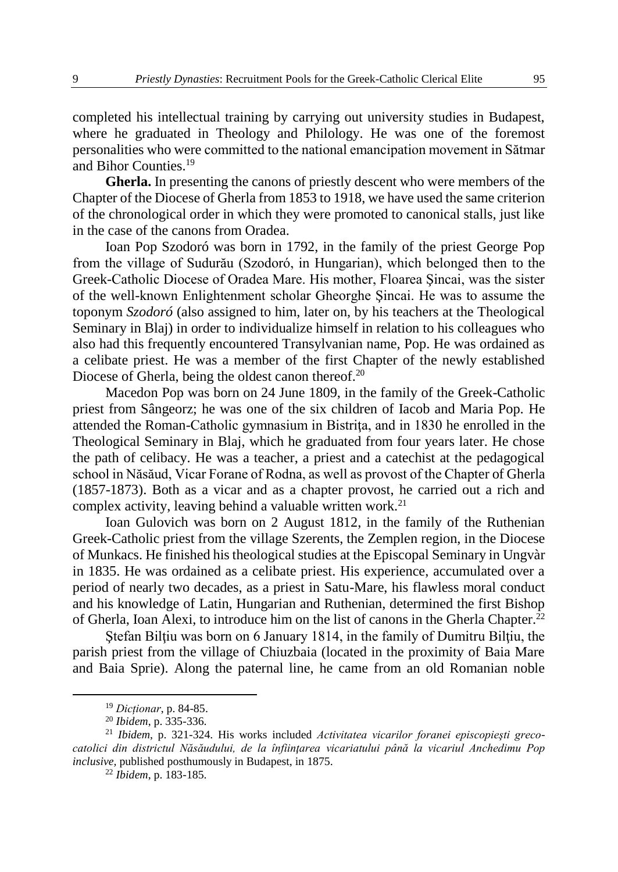completed his intellectual training by carrying out university studies in Budapest, where he graduated in Theology and Philology. He was one of the foremost personalities who were committed to the national emancipation movement in Sătmar and Bihor Counties<sup>19</sup>

**Gherla.** In presenting the canons of priestly descent who were members of the Chapter of the Diocese of Gherla from 1853 to 1918, we have used the same criterion of the chronological order in which they were promoted to canonical stalls, just like in the case of the canons from Oradea.

Ioan Pop Szodoró was born in 1792, in the family of the priest George Pop from the village of Sudurău (Szodoró, in Hungarian), which belonged then to the Greek-Catholic Diocese of Oradea Mare. His mother, Floarea Şincai, was the sister of the well-known Enlightenment scholar Gheorghe Şincai. He was to assume the toponym *Szodoró* (also assigned to him, later on, by his teachers at the Theological Seminary in Blaj) in order to individualize himself in relation to his colleagues who also had this frequently encountered Transylvanian name, Pop. He was ordained as a celibate priest. He was a member of the first Chapter of the newly established Diocese of Gherla, being the oldest canon thereof.<sup>20</sup>

Macedon Pop was born on 24 June 1809, in the family of the Greek-Catholic priest from Sângeorz; he was one of the six children of Iacob and Maria Pop. He attended the Roman-Catholic gymnasium in Bistrita, and in 1830 he enrolled in the Theological Seminary in Blaj, which he graduated from four years later. He chose the path of celibacy. He was a teacher, a priest and a catechist at the pedagogical school in Năsăud, Vicar Forane of Rodna, as well as provost of the Chapter of Gherla (1857-1873). Both as a vicar and as a chapter provost, he carried out a rich and complex activity, leaving behind a valuable written work.<sup>21</sup>

Ioan Gulovich was born on 2 August 1812, in the family of the Ruthenian Greek-Catholic priest from the village Szerents, the Zemplen region, in the Diocese of Munkacs. He finished his theological studies at the Episcopal Seminary in Ungvàr in 1835. He was ordained as a celibate priest. His experience, accumulated over a period of nearly two decades, as a priest in Satu-Mare, his flawless moral conduct and his knowledge of Latin, Hungarian and Ruthenian, determined the first Bishop of Gherla, Ioan Alexi, to introduce him on the list of canons in the Gherla Chapter.<sup>22</sup>

Ştefan Bilţiu was born on 6 January 1814, in the family of Dumitru Bilţiu, the parish priest from the village of Chiuzbaia (located in the proximity of Baia Mare and Baia Sprie). Along the paternal line, he came from an old Romanian noble

<sup>19</sup> *Dicționar*, p. 84-85.

<sup>20</sup> *Ibidem*, p. 335-336.

<sup>21</sup> *Ibidem*, p. 321-324. His works included *Activitatea vicarilor foranei episcopieşti grecocatolici din districtul Năsăudului, de la înfiinţarea vicariatului până la vicariul Anchedimu Pop inclusive,* published posthumously in Budapest, in 1875.

<sup>22</sup> *Ibidem*, p. 183-185.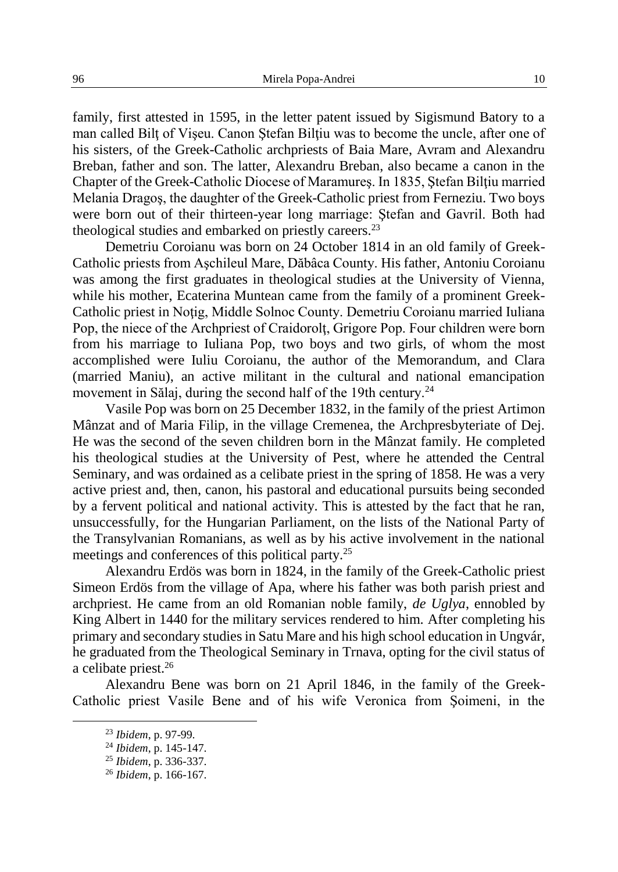family, first attested in 1595, in the letter patent issued by Sigismund Batory to a man called Bilţ of Vişeu. Canon Ştefan Bilţiu was to become the uncle, after one of his sisters, of the Greek-Catholic archpriests of Baia Mare, Avram and Alexandru Breban, father and son. The latter, Alexandru Breban, also became a canon in the Chapter of the Greek-Catholic Diocese of Maramures. In 1835, Stefan Biltiu married Melania Dragoş, the daughter of the Greek-Catholic priest from Ferneziu. Two boys were born out of their thirteen-year long marriage: Ştefan and Gavril. Both had theological studies and embarked on priestly careers.<sup>23</sup>

Demetriu Coroianu was born on 24 October 1814 in an old family of Greek-Catholic priests from Aşchileul Mare, Dăbâca County. His father, Antoniu Coroianu was among the first graduates in theological studies at the University of Vienna, while his mother, Ecaterina Muntean came from the family of a prominent Greek-Catholic priest in Noțig, Middle Solnoc County. Demetriu Coroianu married Iuliana Pop, the niece of the Archpriest of Craidorolţ, Grigore Pop. Four children were born from his marriage to Iuliana Pop, two boys and two girls, of whom the most accomplished were Iuliu Coroianu, the author of the Memorandum, and Clara (married Maniu), an active militant in the cultural and national emancipation movement in Sălaj, during the second half of the 19th century.<sup>24</sup>

Vasile Pop was born on 25 December 1832, in the family of the priest Artimon Mânzat and of Maria Filip, in the village Cremenea, the Archpresbyteriate of Dej. He was the second of the seven children born in the Mânzat family. He completed his theological studies at the University of Pest, where he attended the Central Seminary, and was ordained as a celibate priest in the spring of 1858. He was a very active priest and, then, canon, his pastoral and educational pursuits being seconded by a fervent political and national activity. This is attested by the fact that he ran, unsuccessfully, for the Hungarian Parliament, on the lists of the National Party of the Transylvanian Romanians, as well as by his active involvement in the national meetings and conferences of this political party.<sup>25</sup>

Alexandru Erdös was born in 1824, in the family of the Greek-Catholic priest Simeon Erdös from the village of Apa, where his father was both parish priest and archpriest. He came from an old Romanian noble family, *de Uglya*, ennobled by King Albert in 1440 for the military services rendered to him. After completing his primary and secondary studies in Satu Mare and his high school education in Ungvár, he graduated from the Theological Seminary in Trnava, opting for the civil status of a celibate priest.<sup>26</sup>

Alexandru Bene was born on 21 April 1846, in the family of the Greek-Catholic priest Vasile Bene and of his wife Veronica from Şoimeni, in the

<sup>23</sup> *Ibidem*, p. 97-99.

<sup>24</sup> *Ibidem*, p. 145-147.

<sup>25</sup> *Ibidem*, p. 336-337.

<sup>26</sup> *Ibidem*, p. 166-167.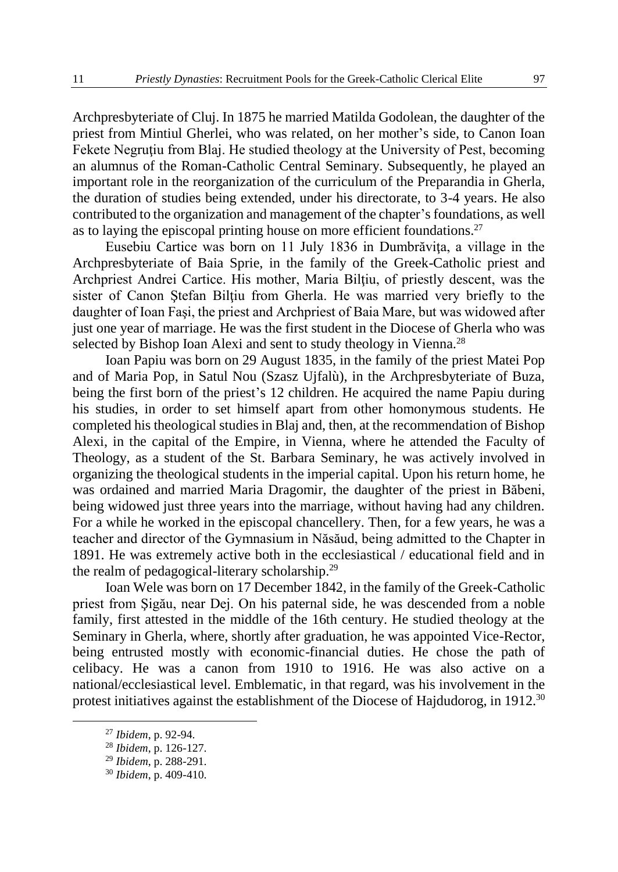Archpresbyteriate of Cluj. In 1875 he married Matilda Godolean, the daughter of the priest from Mintiul Gherlei, who was related, on her mother's side, to Canon Ioan Fekete Negrutiu from Blaj. He studied theology at the University of Pest, becoming an alumnus of the Roman-Catholic Central Seminary. Subsequently, he played an important role in the reorganization of the curriculum of the Preparandia in Gherla, the duration of studies being extended, under his directorate, to 3-4 years. He also contributed to the organization and management of the chapter's foundations, as well as to laying the episcopal printing house on more efficient foundations.<sup>27</sup>

Eusebiu Cartice was born on 11 July 1836 in Dumbrăvita, a village in the Archpresbyteriate of Baia Sprie, in the family of the Greek-Catholic priest and Archpriest Andrei Cartice. His mother, Maria Bilţiu, of priestly descent, was the sister of Canon Stefan Bilțiu from Gherla. He was married very briefly to the daughter of Ioan Faşi, the priest and Archpriest of Baia Mare, but was widowed after just one year of marriage. He was the first student in the Diocese of Gherla who was selected by Bishop Ioan Alexi and sent to study theology in Vienna.<sup>28</sup>

Ioan Papiu was born on 29 August 1835, in the family of the priest Matei Pop and of Maria Pop, in Satul Nou (Szasz Ujfalù), in the Archpresbyteriate of Buza, being the first born of the priest's 12 children. He acquired the name Papiu during his studies, in order to set himself apart from other homonymous students. He completed his theological studies in Blaj and, then, at the recommendation of Bishop Alexi, in the capital of the Empire, in Vienna, where he attended the Faculty of Theology, as a student of the St. Barbara Seminary, he was actively involved in organizing the theological students in the imperial capital. Upon his return home, he was ordained and married Maria Dragomir, the daughter of the priest in Băbeni, being widowed just three years into the marriage, without having had any children. For a while he worked in the episcopal chancellery. Then, for a few years, he was a teacher and director of the Gymnasium in Năsăud, being admitted to the Chapter in 1891. He was extremely active both in the ecclesiastical / educational field and in the realm of pedagogical-literary scholarship.<sup>29</sup>

Ioan Wele was born on 17 December 1842, in the family of the Greek-Catholic priest from Şigău, near Dej. On his paternal side, he was descended from a noble family, first attested in the middle of the 16th century. He studied theology at the Seminary in Gherla, where, shortly after graduation, he was appointed Vice-Rector, being entrusted mostly with economic-financial duties. He chose the path of celibacy. He was a canon from 1910 to 1916. He was also active on a national/ecclesiastical level. Emblematic, in that regard, was his involvement in the protest initiatives against the establishment of the Diocese of Hajdudorog, in 1912.<sup>30</sup>

<sup>27</sup> *Ibidem*, p. 92-94.

<sup>28</sup> *Ibidem*, p. 126-127.

<sup>29</sup> *Ibidem*, p. 288-291.

<sup>30</sup> *Ibidem*, p. 409-410.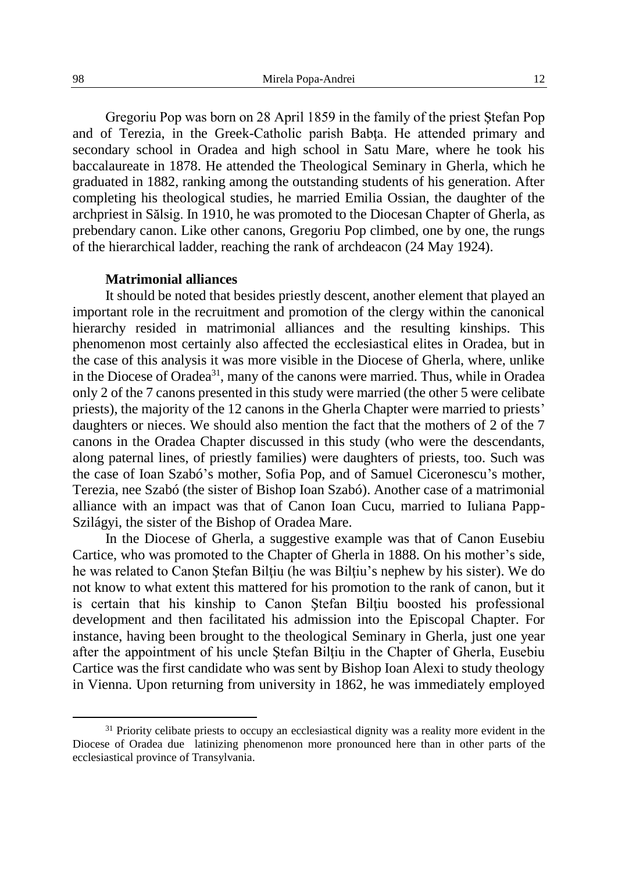Gregoriu Pop was born on 28 April 1859 in the family of the priest Ştefan Pop and of Terezia, in the Greek-Catholic parish Babţa. He attended primary and secondary school in Oradea and high school in Satu Mare, where he took his baccalaureate in 1878. He attended the Theological Seminary in Gherla, which he graduated in 1882, ranking among the outstanding students of his generation. After completing his theological studies, he married Emilia Ossian, the daughter of the archpriest in Sălsig. In 1910, he was promoted to the Diocesan Chapter of Gherla, as prebendary canon. Like other canons, Gregoriu Pop climbed, one by one, the rungs of the hierarchical ladder, reaching the rank of archdeacon (24 May 1924).

## **Matrimonial alliances**

It should be noted that besides priestly descent, another element that played an important role in the recruitment and promotion of the clergy within the canonical hierarchy resided in matrimonial alliances and the resulting kinships. This phenomenon most certainly also affected the ecclesiastical elites in Oradea, but in the case of this analysis it was more visible in the Diocese of Gherla, where, unlike in the Diocese of Oradea<sup>31</sup>, many of the canons were married. Thus, while in Oradea only 2 of the 7 canons presented in this study were married (the other 5 were celibate priests), the majority of the 12 canons in the Gherla Chapter were married to priests' daughters or nieces. We should also mention the fact that the mothers of 2 of the 7 canons in the Oradea Chapter discussed in this study (who were the descendants, along paternal lines, of priestly families) were daughters of priests, too. Such was the case of Ioan Szabó's mother, Sofia Pop, and of Samuel Ciceronescu's mother, Terezia, nee Szabó (the sister of Bishop Ioan Szabó). Another case of a matrimonial alliance with an impact was that of Canon Ioan Cucu, married to Iuliana Papp-Szilágyi, the sister of the Bishop of Oradea Mare.

In the Diocese of Gherla, a suggestive example was that of Canon Eusebiu Cartice, who was promoted to the Chapter of Gherla in 1888. On his mother's side, he was related to Canon Stefan Biltiu (he was Biltiu's nephew by his sister). We do not know to what extent this mattered for his promotion to the rank of canon, but it is certain that his kinship to Canon Stefan Biltiu boosted his professional development and then facilitated his admission into the Episcopal Chapter. For instance, having been brought to the theological Seminary in Gherla, just one year after the appointment of his uncle Ştefan Bilţiu in the Chapter of Gherla, Eusebiu Cartice was the first candidate who was sent by Bishop Ioan Alexi to study theology in Vienna. Upon returning from university in 1862, he was immediately employed

<sup>&</sup>lt;sup>31</sup> Priority celibate priests to occupy an ecclesiastical dignity was a reality more evident in the Diocese of Oradea due latinizing phenomenon more pronounced here than in other parts of the ecclesiastical province of Transylvania.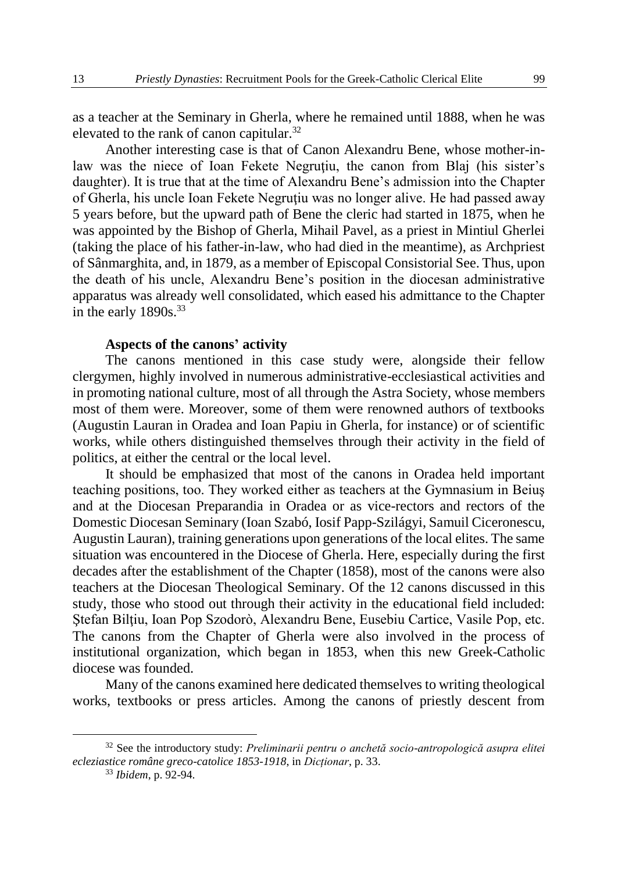as a teacher at the Seminary in Gherla, where he remained until 1888, when he was elevated to the rank of canon capitular.<sup>32</sup>

Another interesting case is that of Canon Alexandru Bene, whose mother-inlaw was the niece of Ioan Fekete Negruțiu, the canon from Blaj (his sister's daughter). It is true that at the time of Alexandru Bene's admission into the Chapter of Gherla, his uncle Ioan Fekete Negrutiu was no longer alive. He had passed away 5 years before, but the upward path of Bene the cleric had started in 1875, when he was appointed by the Bishop of Gherla, Mihail Pavel, as a priest in Mintiul Gherlei (taking the place of his father-in-law, who had died in the meantime), as Archpriest of Sânmarghita, and, in 1879, as a member of Episcopal Consistorial See. Thus, upon the death of his uncle, Alexandru Bene's position in the diocesan administrative apparatus was already well consolidated, which eased his admittance to the Chapter in the early  $1890s.<sup>33</sup>$ 

## **Aspects of the canons' activity**

The canons mentioned in this case study were, alongside their fellow clergymen, highly involved in numerous administrative-ecclesiastical activities and in promoting national culture, most of all through the Astra Society, whose members most of them were. Moreover, some of them were renowned authors of textbooks (Augustin Lauran in Oradea and Ioan Papiu in Gherla, for instance) or of scientific works, while others distinguished themselves through their activity in the field of politics, at either the central or the local level.

It should be emphasized that most of the canons in Oradea held important teaching positions, too. They worked either as teachers at the Gymnasium in Beiuş and at the Diocesan Preparandia in Oradea or as vice-rectors and rectors of the Domestic Diocesan Seminary (Ioan Szabó, Iosif Papp-Szilágyi, Samuil Ciceronescu, Augustin Lauran), training generations upon generations of the local elites. The same situation was encountered in the Diocese of Gherla. Here, especially during the first decades after the establishment of the Chapter (1858), most of the canons were also teachers at the Diocesan Theological Seminary. Of the 12 canons discussed in this study, those who stood out through their activity in the educational field included: Ştefan Bilţiu, Ioan Pop Szodorò, Alexandru Bene, Eusebiu Cartice, Vasile Pop, etc. The canons from the Chapter of Gherla were also involved in the process of institutional organization, which began in 1853, when this new Greek-Catholic diocese was founded.

Many of the canons examined here dedicated themselves to writing theological works, textbooks or press articles. Among the canons of priestly descent from

<sup>32</sup> See the introductory study: *Preliminarii pentru o anchetă socio-antropologică asupra elitei ecleziastice române greco-catolice 1853-1918*, in *Dicționar*, p. 33.

<sup>33</sup> *Ibidem*, p. 92-94.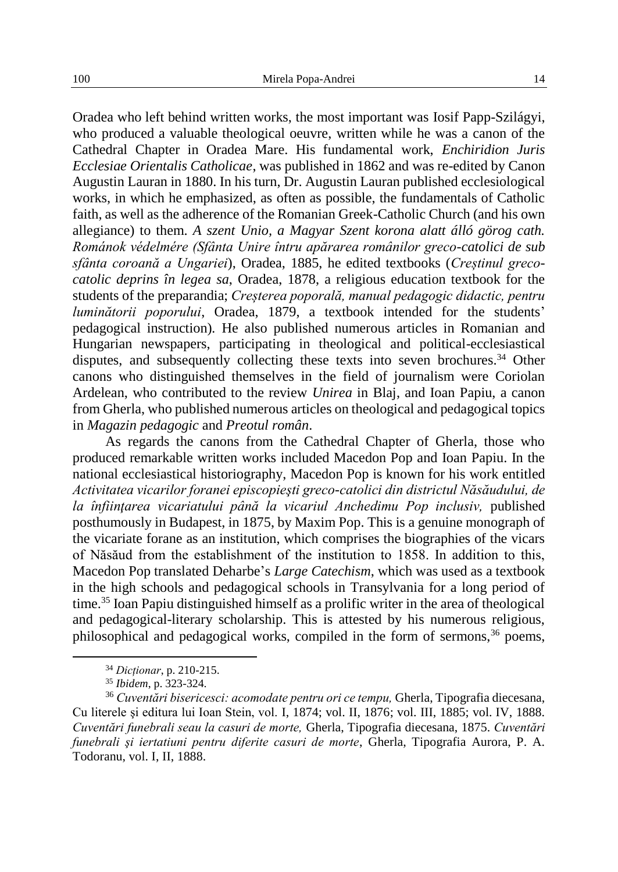Oradea who left behind written works, the most important was Iosif Papp-Szilágyi, who produced a valuable theological oeuvre, written while he was a canon of the Cathedral Chapter in Oradea Mare. His fundamental work, *Enchiridion Juris Ecclesiae Orientalis Catholicae*, was published in 1862 and was re-edited by Canon Augustin Lauran in 1880. In his turn, Dr. Augustin Lauran published ecclesiological works, in which he emphasized, as often as possible, the fundamentals of Catholic faith, as well as the adherence of the Romanian Greek-Catholic Church (and his own allegiance) to them. *A szent Unio, a Magyar Szent korona alatt álló görog cath. Románok védelmére (Sfânta Unire întru apărarea românilor greco-catolici de sub sfânta coroană a Ungariei*), Oradea, 1885, he edited textbooks (*Creștinul grecocatolic deprins în legea sa*, Oradea, 1878, a religious education textbook for the students of the preparandia; *Creșterea poporală, manual pedagogic didactic, pentru luminătorii poporului*, Oradea, 1879, a textbook intended for the students' pedagogical instruction)*.* He also published numerous articles in Romanian and Hungarian newspapers, participating in theological and political-ecclesiastical disputes, and subsequently collecting these texts into seven brochures.<sup>34</sup> Other canons who distinguished themselves in the field of journalism were Coriolan Ardelean, who contributed to the review *Unirea* in Blaj, and Ioan Papiu, a canon from Gherla, who published numerous articles on theological and pedagogical topics in *Magazin pedagogic* and *Preotul român*.

As regards the canons from the Cathedral Chapter of Gherla, those who produced remarkable written works included Macedon Pop and Ioan Papiu. In the national ecclesiastical historiography, Macedon Pop is known for his work entitled *Activitatea vicarilor foranei episcopieşti greco-catolici din districtul Năsăudului, de la înfiinţarea vicariatului până la vicariul Anchedimu Pop inclusiv,* published posthumously in Budapest, in 1875, by Maxim Pop. This is a genuine monograph of the vicariate forane as an institution, which comprises the biographies of the vicars of Năsăud from the establishment of the institution to 1858. In addition to this, Macedon Pop translated Deharbe's *Large Catechism*, which was used as a textbook in the high schools and pedagogical schools in Transylvania for a long period of time.<sup>35</sup> Ioan Papiu distinguished himself as a prolific writer in the area of theological and pedagogical-literary scholarship. This is attested by his numerous religious, philosophical and pedagogical works, compiled in the form of sermons, $36$  poems,

<sup>34</sup> *Dicționar*, p. 210-215.

<sup>35</sup> *Ibidem*, p. 323-324.

<sup>36</sup> *Cuventări bisericesci: acomodate pentru ori ce tempu,* Gherla, Tipografia diecesana, Cu literele şi editura lui Ioan Stein, vol. I, 1874; vol. II, 1876; vol. III, 1885; vol. IV, 1888. *Cuventări funebrali seau la casuri de morte,* Gherla, Tipografia diecesana, 1875. *Cuventări funebrali şi iertatiuni pentru diferite casuri de morte*, Gherla, Tipografia Aurora, P. A. Todoranu, vol. I, II, 1888.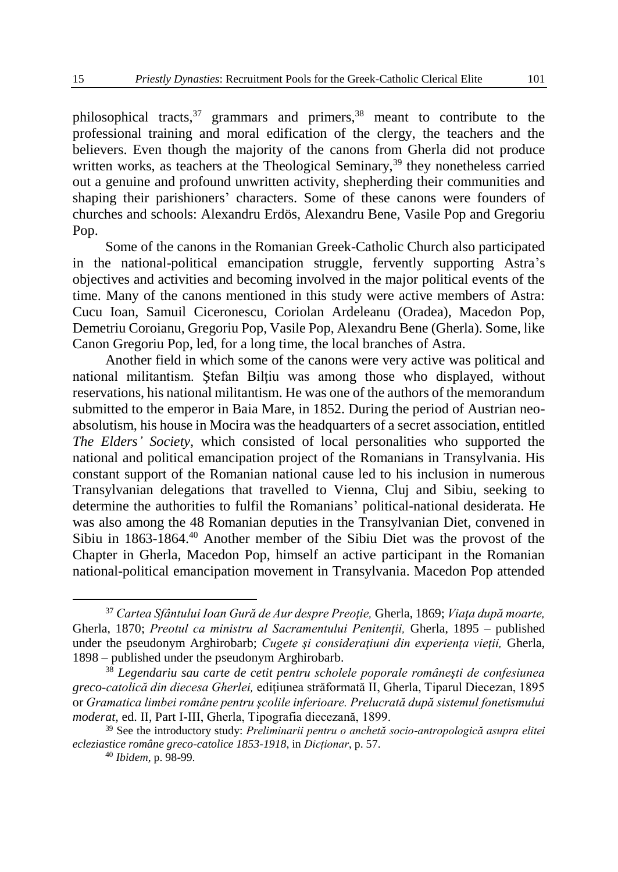philosophical tracts,  $37$  grammars and primers,  $38$  meant to contribute to the professional training and moral edification of the clergy, the teachers and the believers. Even though the majority of the canons from Gherla did not produce written works, as teachers at the Theological Seminary,<sup>39</sup> they nonetheless carried out a genuine and profound unwritten activity, shepherding their communities and shaping their parishioners' characters. Some of these canons were founders of churches and schools: Alexandru Erdös, Alexandru Bene, Vasile Pop and Gregoriu Pop.

Some of the canons in the Romanian Greek-Catholic Church also participated in the national-political emancipation struggle, fervently supporting Astra's objectives and activities and becoming involved in the major political events of the time. Many of the canons mentioned in this study were active members of Astra: Cucu Ioan, Samuil Ciceronescu, Coriolan Ardeleanu (Oradea), Macedon Pop, Demetriu Coroianu, Gregoriu Pop, Vasile Pop, Alexandru Bene (Gherla). Some, like Canon Gregoriu Pop, led, for a long time, the local branches of Astra.

Another field in which some of the canons were very active was political and national militantism. Ştefan Bilţiu was among those who displayed, without reservations, his national militantism. He was one of the authors of the memorandum submitted to the emperor in Baia Mare, in 1852. During the period of Austrian neoabsolutism, his house in Mocira was the headquarters of a secret association, entitled *The Elders' Society,* which consisted of local personalities who supported the national and political emancipation project of the Romanians in Transylvania. His constant support of the Romanian national cause led to his inclusion in numerous Transylvanian delegations that travelled to Vienna, Cluj and Sibiu, seeking to determine the authorities to fulfil the Romanians' political-national desiderata. He was also among the 48 Romanian deputies in the Transylvanian Diet, convened in Sibiu in 1863-1864.<sup>40</sup> Another member of the Sibiu Diet was the provost of the Chapter in Gherla, Macedon Pop, himself an active participant in the Romanian national-political emancipation movement in Transylvania. Macedon Pop attended

<sup>37</sup> *Cartea Sfântului Ioan Gură de Aur despre Preoţie,* Gherla, 1869; *Viaţa după moarte,*  Gherla, 1870; *Preotul ca ministru al Sacramentului Penitenţii,* Gherla, 1895 – published under the pseudonym Arghirobarb; *Cugete si consideratiuni din experienta vietii*, Gherla, 1898 – published under the pseudonym Arghirobarb.

<sup>38</sup> *Legendariu sau carte de cetit pentru scholele poporale româneşti de confesiunea greco-catolică din diecesa Gherlei,* ediţiunea străformată II, Gherla, Tiparul Diecezan, 1895 or *Gramatica limbei române pentru şcolile inferioare. Prelucrată după sistemul fonetismului moderat,* ed. II, Part I-III, Gherla, Tipografia diecezană, 1899.

<sup>39</sup> See the introductory study: *Preliminarii pentru o anchetă socio-antropologică asupra elitei ecleziastice române greco-catolice 1853-1918*, in *Dicționar*, p. 57.

<sup>40</sup> *Ibidem*, p. 98-99.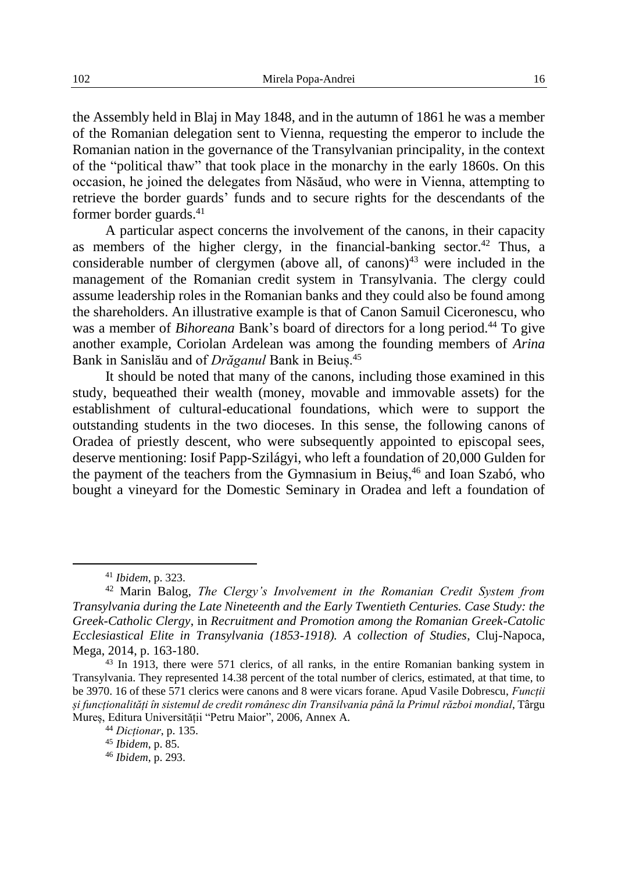the Assembly held in Blaj in May 1848, and in the autumn of 1861 he was a member of the Romanian delegation sent to Vienna, requesting the emperor to include the Romanian nation in the governance of the Transylvanian principality, in the context of the "political thaw" that took place in the monarchy in the early 1860s. On this occasion, he joined the delegates from Năsăud, who were in Vienna, attempting to retrieve the border guards' funds and to secure rights for the descendants of the former border guards.<sup>41</sup>

A particular aspect concerns the involvement of the canons, in their capacity as members of the higher clergy, in the financial-banking sector.<sup>42</sup> Thus, a considerable number of clergymen (above all, of canons)<sup>43</sup> were included in the management of the Romanian credit system in Transylvania. The clergy could assume leadership roles in the Romanian banks and they could also be found among the shareholders. An illustrative example is that of Canon Samuil Ciceronescu, who was a member of *Bihoreana* Bank's board of directors for a long period.<sup>44</sup> To give another example, Coriolan Ardelean was among the founding members of *Arina* Bank in Sanislău and of *Drăganul* Bank in Beiuș.<sup>45</sup>

It should be noted that many of the canons, including those examined in this study, bequeathed their wealth (money, movable and immovable assets) for the establishment of cultural-educational foundations, which were to support the outstanding students in the two dioceses. In this sense, the following canons of Oradea of priestly descent, who were subsequently appointed to episcopal sees, deserve mentioning: Iosif Papp-Szilágyi, who left a foundation of 20,000 Gulden for the payment of the teachers from the Gymnasium in Beius,<sup>46</sup> and Ioan Szabó, who bought a vineyard for the Domestic Seminary in Oradea and left a foundation of

<sup>41</sup> *Ibidem*, p. 323.

<sup>42</sup> Marin Balog, *The Clergy's Involvement in the Romanian Credit System from Transylvania during the Late Nineteenth and the Early Twentieth Centuries. Case Study: the Greek-Catholic Clergy*, in *Recruitment and Promotion among the Romanian Greek-Catolic Ecclesiastical Elite in Transylvania (1853-1918). A collection of Studies*, Cluj-Napoca, Mega, 2014, p. 163-180.

<sup>43</sup> In 1913, there were 571 clerics, of all ranks, in the entire Romanian banking system in Transylvania. They represented 14.38 percent of the total number of clerics, estimated, at that time, to be 3970. 16 of these 571 clerics were canons and 8 were vicars forane. Apud Vasile Dobrescu, *Funcții și funcționalități în sistemul de credit românesc din Transilvania până la Primul război mondial*, Târgu Mureș, Editura Universității "Petru Maior", 2006, Annex A.

<sup>44</sup> *Dicționar*, p. 135.

<sup>45</sup> *Ibidem*, p. 85.

<sup>46</sup> *Ibidem*, p. 293.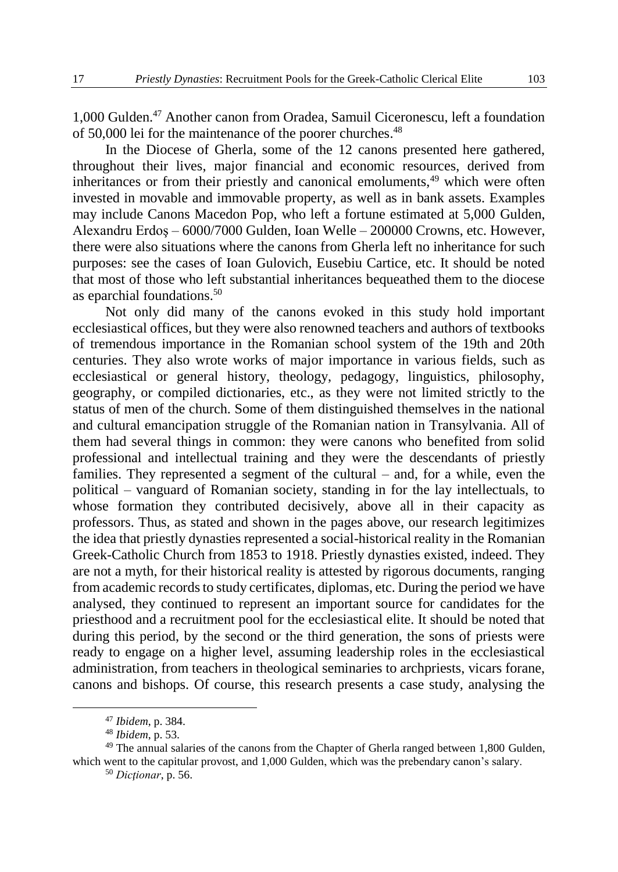1,000 Gulden. <sup>47</sup> Another canon from Oradea, Samuil Ciceronescu, left a foundation of 50,000 lei for the maintenance of the poorer churches.<sup>48</sup>

In the Diocese of Gherla, some of the 12 canons presented here gathered, throughout their lives, major financial and economic resources, derived from inheritances or from their priestly and canonical emoluments,<sup>49</sup> which were often invested in movable and immovable property, as well as in bank assets. Examples may include Canons Macedon Pop, who left a fortune estimated at 5,000 Gulden, Alexandru Erdoş – 6000/7000 Gulden, Ioan Welle – 200000 Crowns, etc. However, there were also situations where the canons from Gherla left no inheritance for such purposes: see the cases of Ioan Gulovich, Eusebiu Cartice, etc. It should be noted that most of those who left substantial inheritances bequeathed them to the diocese as eparchial foundations.<sup>50</sup>

Not only did many of the canons evoked in this study hold important ecclesiastical offices, but they were also renowned teachers and authors of textbooks of tremendous importance in the Romanian school system of the 19th and 20th centuries. They also wrote works of major importance in various fields, such as ecclesiastical or general history, theology, pedagogy, linguistics, philosophy, geography, or compiled dictionaries, etc., as they were not limited strictly to the status of men of the church. Some of them distinguished themselves in the national and cultural emancipation struggle of the Romanian nation in Transylvania. All of them had several things in common: they were canons who benefited from solid professional and intellectual training and they were the descendants of priestly families. They represented a segment of the cultural – and, for a while, even the political – vanguard of Romanian society, standing in for the lay intellectuals, to whose formation they contributed decisively, above all in their capacity as professors. Thus, as stated and shown in the pages above, our research legitimizes the idea that priestly dynasties represented a social-historical reality in the Romanian Greek-Catholic Church from 1853 to 1918. Priestly dynasties existed, indeed. They are not a myth, for their historical reality is attested by rigorous documents, ranging from academic records to study certificates, diplomas, etc. During the period we have analysed, they continued to represent an important source for candidates for the priesthood and a recruitment pool for the ecclesiastical elite. It should be noted that during this period, by the second or the third generation, the sons of priests were ready to engage on a higher level, assuming leadership roles in the ecclesiastical administration, from teachers in theological seminaries to archpriests, vicars forane, canons and bishops. Of course, this research presents a case study, analysing the

<sup>47</sup> *Ibidem*, p. 384.

<sup>48</sup> *Ibidem*, p. 53.

<sup>&</sup>lt;sup>49</sup> The annual salaries of the canons from the Chapter of Gherla ranged between 1,800 Gulden, which went to the capitular provost, and 1,000 Gulden, which was the prebendary canon's salary.

<sup>50</sup> *Dicţionar*, p. 56.